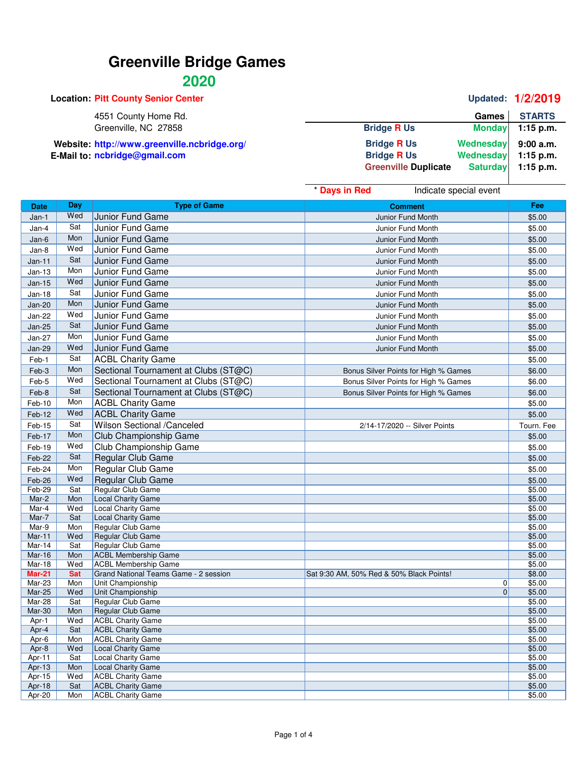### **2020**

|                             |                 | Updated: 1/2/2019 |
|-----------------------------|-----------------|-------------------|
|                             | Games           | <b>STARTS</b>     |
| <b>Bridge R Us</b>          | <b>Monday</b>   | $1:15$ p.m.       |
| <b>Bridge R Us</b>          | Wednesday       | 9:00 a.m.         |
| <b>Bridge R Us</b>          | Wednesday       | $1:15$ p.m.       |
| <b>Greenville Duplicate</b> | <b>Saturday</b> | 1:15 p.m.         |
|                             |                 |                   |

|                  |            |                                                      | * Days in Red<br>Indicate special event  |                  |
|------------------|------------|------------------------------------------------------|------------------------------------------|------------------|
| <b>Date</b>      | Day        | <b>Type of Game</b>                                  | <b>Comment</b>                           | Fee              |
| Jan-1            | Wed        | Junior Fund Game                                     | Junior Fund Month                        | \$5.00           |
| Jan-4            | Sat        | Junior Fund Game                                     | Junior Fund Month                        | \$5.00           |
| Jan-6            | Mon        | Junior Fund Game                                     | Junior Fund Month                        | \$5.00           |
| Jan-8            | Wed        | Junior Fund Game                                     | Junior Fund Month                        | \$5.00           |
| Jan-11           | Sat        | Junior Fund Game                                     | Junior Fund Month                        | \$5.00           |
| $Jan-13$         | Mon        | Junior Fund Game                                     | Junior Fund Month                        | \$5.00           |
| $Jan-15$         | Wed        | Junior Fund Game                                     | Junior Fund Month                        | \$5.00           |
|                  | Sat        |                                                      |                                          |                  |
| <b>Jan-18</b>    | Mon        | Junior Fund Game                                     | Junior Fund Month                        | \$5.00           |
| <b>Jan-20</b>    | Wed        | Junior Fund Game                                     | Junior Fund Month                        | \$5.00           |
| Jan-22           |            | Junior Fund Game                                     | Junior Fund Month                        | \$5.00           |
| <b>Jan-25</b>    | Sat        | Junior Fund Game                                     | Junior Fund Month                        | \$5.00           |
| <b>Jan-27</b>    | Mon        | Junior Fund Game                                     | Junior Fund Month                        | \$5.00           |
| Jan-29           | Wed        | Junior Fund Game                                     | Junior Fund Month                        | \$5.00           |
| Feb-1            | Sat        | <b>ACBL Charity Game</b>                             |                                          | \$5.00           |
| Feb-3            | Mon        | Sectional Tournament at Clubs (ST@C)                 | Bonus Silver Points for High % Games     | \$6.00           |
| Feb-5            | Wed        | Sectional Tournament at Clubs (ST@C)                 | Bonus Silver Points for High % Games     | \$6.00           |
| Feb-8            | Sat        | Sectional Tournament at Clubs (ST@C)                 | Bonus Silver Points for High % Games     | \$6.00           |
| Feb-10           | Mon        | <b>ACBL Charity Game</b>                             |                                          | \$5.00           |
| Feb-12           | Wed        | <b>ACBL Charity Game</b>                             |                                          | \$5.00           |
| Feb-15           | Sat        | Wilson Sectional /Canceled                           | 2/14-17/2020 -- Silver Points            | Tourn. Fee       |
| Feb-17           | Mon        | Club Championship Game                               |                                          | \$5.00           |
| Feb-19           | Wed        | Club Championship Game                               |                                          | \$5.00           |
| Feb-22           | Sat        | Regular Club Game                                    |                                          |                  |
|                  | Mon        |                                                      |                                          | \$5.00           |
| Feb-24           | Wed        | Regular Club Game                                    |                                          | \$5.00           |
| Feb-26<br>Feb-29 | Sat        | Regular Club Game<br>Regular Club Game               |                                          | \$5.00<br>\$5.00 |
| Mar-2            | Mon        | <b>Local Charity Game</b>                            |                                          | \$5.00           |
| Mar-4            | Wed        | <b>Local Charity Game</b>                            |                                          | \$5.00           |
| Mar-7            | Sat        | <b>Local Charity Game</b>                            |                                          | \$5.00           |
| Mar-9            | Mon        | Regular Club Game                                    |                                          | \$5.00           |
| Mar-11           | Wed        | Regular Club Game                                    |                                          | \$5.00           |
| Mar-14           | Sat        | Regular Club Game                                    |                                          | \$5.00           |
| <b>Mar-16</b>    | Mon        | <b>ACBL Membership Game</b>                          |                                          | \$5.00           |
| Mar-18           | Wed        | <b>ACBL Membership Game</b>                          |                                          | \$5.00           |
| <b>Mar-21</b>    | <b>Sat</b> | Grand National Teams Game - 2 session                | Sat 9:30 AM, 50% Red & 50% Black Points! | \$8.00           |
| Mar-23           | Mon        | Unit Championship                                    | 0<br>$\mathbf{0}$                        | \$5.00           |
| Mar-25<br>Mar-28 | Wed<br>Sat | Unit Championship<br><b>Regular Club Game</b>        |                                          | \$5.00<br>\$5.00 |
| Mar-30           | Mon        | Regular Club Game                                    |                                          | \$5.00           |
| Apr-1            | Wed        | <b>ACBL Charity Game</b>                             |                                          | \$5.00           |
| Apr-4            | Sat        | <b>ACBL Charity Game</b>                             |                                          | \$5.00           |
| Apr-6            | Mon        | <b>ACBL Charity Game</b>                             |                                          | \$5.00           |
| Apr-8            | Wed        | Local Charity Game                                   |                                          | \$5.00           |
| Apr-11           | Sat        | <b>Local Charity Game</b>                            |                                          | \$5.00           |
| Apr-13           | Mon        | Local Charity Game                                   |                                          | \$5.00           |
| Apr-15           | Wed        | <b>ACBL Charity Game</b>                             |                                          | \$5.00           |
| Apr-18<br>Apr-20 | Sat<br>Mon | <b>ACBL Charity Game</b><br><b>ACBL Charity Game</b> |                                          | \$5.00<br>\$5.00 |
|                  |            |                                                      |                                          |                  |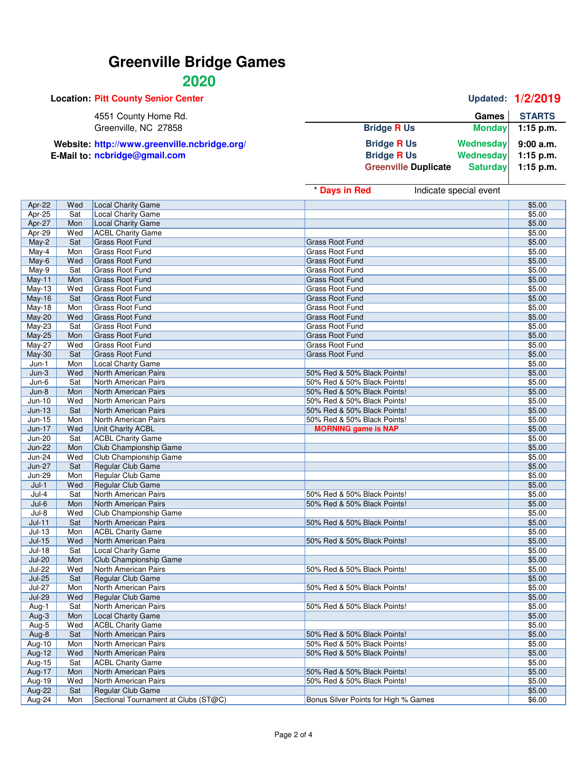### **2020**

|                             |              | <b>Updated: 1/2/2019</b>                                   |
|-----------------------------|--------------|------------------------------------------------------------|
|                             | <b>Games</b> | <b>STARTS</b>                                              |
| <b>Bridge R Us</b>          |              | $1:15$ p.m.                                                |
| <b>Bridge R Us</b>          |              | 9:00a.m.                                                   |
| <b>Bridge R Us</b>          |              | $1:15$ p.m.                                                |
| <b>Greenville Duplicate</b> |              | $1:15$ p.m.                                                |
|                             |              | <b>Monday</b><br>Wednesday<br>Wednesday<br><b>Saturday</b> |

|      |               | Games STARTS |
|------|---------------|--------------|
| l Us | <b>Monday</b> | 1:15 p.m.    |

| <b>Bridge R Us</b>          | Wednesday       | 9:00a.m.    |
|-----------------------------|-----------------|-------------|
| <b>Bridge R Us</b>          | Wednesday       | $1:15$ p.m. |
| <b>Greenville Duplicate</b> | <b>Saturday</b> | $1:15$ p.m. |
|                             |                 |             |

|               |     |                           | * Days in Red<br>Indicate special event |        |
|---------------|-----|---------------------------|-----------------------------------------|--------|
| Apr-22        | Wed | <b>Local Charity Game</b> |                                         | \$5.00 |
| Apr-25        | Sat | Local Charity Game        |                                         | \$5.00 |
| Apr-27        | Mon | <b>Local Charity Game</b> |                                         | \$5.00 |
| Apr-29        | Wed | <b>ACBL Charity Game</b>  |                                         | \$5.00 |
| $May-2$       | Sat | <b>Grass Root Fund</b>    | <b>Grass Root Fund</b>                  | \$5.00 |
| May-4         | Mon | <b>Grass Root Fund</b>    | Grass Root Fund                         | \$5.00 |
| May-6         | Wed | <b>Grass Root Fund</b>    | <b>Grass Root Fund</b>                  | \$5.00 |
| May-9         | Sat | <b>Grass Root Fund</b>    | Grass Root Fund                         | \$5.00 |
| May-11        | Mon | <b>Grass Root Fund</b>    | <b>Grass Root Fund</b>                  | \$5.00 |
| $May-13$      | Wed | <b>Grass Root Fund</b>    | Grass Root Fund                         | \$5.00 |
| May-16        | Sat | <b>Grass Root Fund</b>    | <b>Grass Root Fund</b>                  | \$5.00 |
| May-18        | Mon | <b>Grass Root Fund</b>    | <b>Grass Root Fund</b>                  | \$5.00 |
| May-20        | Wed | <b>Grass Root Fund</b>    | <b>Grass Root Fund</b>                  | \$5.00 |
| May-23        | Sat | Grass Root Fund           | Grass Root Fund                         | \$5.00 |
| May-25        | Mon | <b>Grass Root Fund</b>    | <b>Grass Root Fund</b>                  | \$5.00 |
| May-27        | Wed | <b>Grass Root Fund</b>    | Grass Root Fund                         | \$5.00 |
| May-30        | Sat | <b>Grass Root Fund</b>    | <b>Grass Root Fund</b>                  | \$5.00 |
| $Jun-1$       | Mon | <b>Local Charity Game</b> |                                         | \$5.00 |
| $Jun-3$       | Wed | North American Pairs      | 50% Red & 50% Black Points!             | \$5.00 |
| $Jun-6$       | Sat | North American Pairs      | 50% Red & 50% Black Points!             | \$5.00 |
| $Jun-8$       | Mon | North American Pairs      | 50% Red & 50% Black Points!             | \$5.00 |
| $Jun-10$      | Wed | North American Pairs      | 50% Red & 50% Black Points!             | \$5.00 |
| $Jun-13$      | Sat | North American Pairs      | 50% Red & 50% Black Points!             | \$5.00 |
| Jun-15        | Mon | North American Pairs      | 50% Red & 50% Black Points!             | \$5.00 |
| Jun-17        | Wed | Unit Charity ACBL         | <b>MORNING game is NAP</b>              | \$5.00 |
| <b>Jun-20</b> | Sat | <b>ACBL Charity Game</b>  |                                         | \$5.00 |
| <b>Jun-22</b> | Mon | Club Championship Game    |                                         | \$5.00 |
| <b>Jun-24</b> | Wed | Club Championship Game    |                                         | \$5.00 |
| <b>Jun-27</b> | Sat | Regular Club Game         |                                         | \$5.00 |
| <b>Jun-29</b> | Mon | Regular Club Game         |                                         | \$5.00 |
| $Jul-1$       | Wed | Regular Club Game         |                                         | \$5.00 |
| Jul-4         | Sat | North American Pairs      | 50% Red & 50% Black Points!             | \$5.00 |
| $Jul-6$       | Mon | North American Pairs      | 50% Red & 50% Black Points!             | \$5.00 |
| Jul-8         | Wed | Club Championship Game    |                                         | \$5.00 |
| $Jul-11$      | Sat | North American Pairs      | 50% Red & 50% Black Points!             | \$5.00 |
| $Jul-13$      | Mon | <b>ACBL Charity Game</b>  |                                         | \$5.00 |
| $Jul-15$      | Wed | North American Pairs      | 50% Red & 50% Black Points!             | \$5.00 |
| $Jul-18$      | Sat | Local Charity Game        |                                         | \$5.00 |
| <b>Jul-20</b> | Mon | Club Championship Game    |                                         | \$5.00 |
| <b>Jul-22</b> | Wed | North American Pairs      | 50% Red & 50% Black Points!             | \$5.00 |
| $Jul-25$      | Sat | Regular Club Game         |                                         | \$5.00 |
| <b>Jul-27</b> | Mon | North American Pairs      | 50% Red & 50% Black Points!             | \$5.00 |
| <b>Jul-29</b> | Wed | Regular Club Game         |                                         | \$5.00 |
| Aug-1         | Sat | North American Pairs      | 50% Red & 50% Black Points!             | \$5.00 |
| Aug-3         | Mon | Local Charity Game        |                                         | \$5.00 |
| Aug-5         | Wed | <b>ACBL Charity Game</b>  |                                         | \$5.00 |
| Aug-8         | Sat | North American Pairs      | 50% Red & 50% Black Points!             | \$5.00 |
| <b>Aug-10</b> | Mon | North American Pairs      | 50% Red & 50% Black Points!             | \$5.00 |
| Aug-12        | Wed | North American Pairs      | 50% Red & 50% Black Points!             | \$5.00 |
| Aug-15        | Sat | <b>ACBL Charity Game</b>  |                                         | \$5.00 |
| Aug-17        | Mon | North American Pairs      | 50% Red & 50% Black Points!             | \$5.00 |
| Aug-19        | Wed | North American Pairs      | 50% Red & 50% Black Points!             | \$5.00 |
| <b>Aug-22</b> | Sat | <b>Regular Club Game</b>  |                                         | \$5.00 |

Aug-22 Sat Regular Club Game \$5.00<br>
Aug-24 Mon Sectional Tournament at Clubs (ST@C) Bonus Silver Points for High % Games \$6.00

Mon Sectional Tournament at Clubs (ST@C)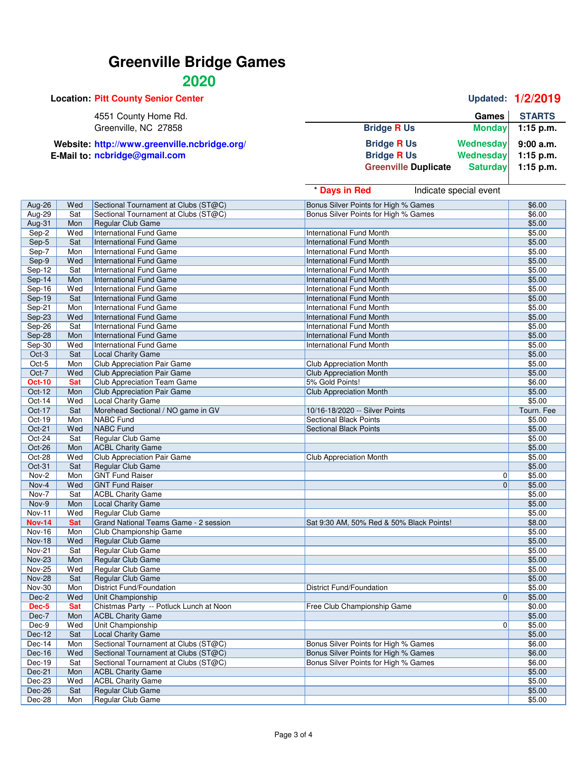| <b>Location: Pitt County Senior Center</b>   |                             |                 | Updated: 1/2/2019 |
|----------------------------------------------|-----------------------------|-----------------|-------------------|
| 4551 County Home Rd.                         |                             | Games           | <b>STARTS</b>     |
| Greenville, NC 27858                         | <b>Bridge R Us</b>          | <b>Monday</b>   | 1:15 p.m.         |
| Website: http://www.greenville.ncbridge.org/ | <b>Bridge R Us</b>          | Wednesday       | 9:00 a.m.         |
| E-Mail to: ncbridge@gmail.com                | <b>Bridge R Us</b>          | Wednesday       | $1:15$ p.m.       |
|                                              | <b>Greenville Duplicate</b> | <b>Saturday</b> | $1:15$ p.m.       |

|               |            |                                         | * Days in Red<br>Indicate special event  |                        |
|---------------|------------|-----------------------------------------|------------------------------------------|------------------------|
| Aug-26        | Wed        | Sectional Tournament at Clubs (ST@C)    | Bonus Silver Points for High % Games     | \$6.00                 |
| Aug-29        | Sat        | Sectional Tournament at Clubs (ST@C)    | Bonus Silver Points for High % Games     | \$6.00                 |
| Aug-31        | Mon        | Regular Club Game                       |                                          | \$5.00                 |
| Sep-2         | Wed        | International Fund Game                 | International Fund Month                 | \$5.00                 |
| Sep-5         | Sat        | International Fund Game                 | <b>International Fund Month</b>          | \$5.00                 |
| Sep-7         | Mon        | International Fund Game                 | <b>International Fund Month</b>          | \$5.00                 |
| Sep-9         | Wed        | International Fund Game                 | <b>International Fund Month</b>          | \$5.00                 |
| Sep-12        | Sat        | International Fund Game                 | <b>International Fund Month</b>          | \$5.00                 |
| Sep-14        | Mon        | International Fund Game                 | <b>International Fund Month</b>          | \$5.00                 |
| Sep-16        | Wed        | International Fund Game                 | <b>International Fund Month</b>          | \$5.00                 |
| Sep-19        | Sat        | International Fund Game                 | International Fund Month                 | \$5.00                 |
| $Sep-21$      | Mon        | International Fund Game                 | <b>International Fund Month</b>          | \$5.00                 |
| Sep-23        | Wed        | International Fund Game                 | <b>International Fund Month</b>          | \$5.00                 |
| Sep-26        | Sat        | International Fund Game                 | <b>International Fund Month</b>          | \$5.00                 |
| Sep-28        | Mon        | International Fund Game                 | <b>International Fund Month</b>          | \$5.00                 |
| Sep-30        | Wed        | International Fund Game                 | International Fund Month                 | \$5.00                 |
| Oct-3         | Sat        | <b>Local Charity Game</b>               |                                          | \$5.00                 |
| Oct-5         | Mon        | Club Appreciation Pair Game             | Club Appreciation Month                  | \$5.00                 |
| Oct-7         | Wed        | Club Appreciation Pair Game             | <b>Club Appreciation Month</b>           | \$5.00                 |
| <b>Oct-10</b> | <b>Sat</b> | Club Appreciation Team Game             | 5% Gold Points!                          | \$6.00                 |
| Oct-12        | Mon        | <b>Club Appreciation Pair Game</b>      | <b>Club Appreciation Month</b>           | \$5.00                 |
| Oct-14        | Wed        | Local Charity Game                      |                                          | \$5.00                 |
| Oct-17        | Sat        | Morehead Sectional / NO game in GV      | 10/16-18/2020 -- Silver Points           | Tourn. Fee             |
| Oct-19        | Mon        | NABC Fund                               | <b>Sectional Black Points</b>            | \$5.00                 |
| Oct-21        | Wed        | <b>NABC</b> Fund                        | <b>Sectional Black Points</b>            | \$5.00                 |
| Oct-24        | Sat        | Regular Club Game                       |                                          | \$5.00                 |
| Oct-26        | Mon        | <b>ACBL Charity Game</b>                |                                          | \$5.00                 |
| Oct-28        | Wed        | <b>Club Appreciation Pair Game</b>      | <b>Club Appreciation Month</b>           | \$5.00                 |
| Oct-31        | Sat        | Regular Club Game                       |                                          | \$5.00                 |
| Nov-2         | Mon        | <b>GNT Fund Raiser</b>                  |                                          | \$5.00<br>0            |
| Nov-4         | Wed        | <b>GNT Fund Raiser</b>                  |                                          | $\mathbf{0}$<br>\$5.00 |
| Nov-7         | Sat        | <b>ACBL Charity Game</b>                |                                          | \$5.00                 |
| Nov-9         | Mon        | Local Charity Game                      |                                          | \$5.00                 |
| Nov-11        | Wed        | Regular Club Game                       |                                          | \$5.00                 |
| <b>Nov-14</b> | <b>Sat</b> | Grand National Teams Game - 2 session   | Sat 9:30 AM, 50% Red & 50% Black Points! | \$8.00                 |
| <b>Nov-16</b> | Mon        | Club Championship Game                  |                                          | \$5.00                 |
| <b>Nov-18</b> | Wed        | Regular Club Game                       |                                          | \$5.00                 |
| <b>Nov-21</b> | Sat        | Regular Club Game                       |                                          | \$5.00                 |
| <b>Nov-23</b> | Mon        | Regular Club Game                       |                                          | \$5.00                 |
| <b>Nov-25</b> | Wed        | Regular Club Game                       |                                          | \$5.00                 |
| <b>Nov-28</b> | Sat        | Regular Club Game                       |                                          | \$5.00                 |
| <b>Nov-30</b> | Mon        | District Fund/Foundation                | <b>District Fund/Foundation</b>          | \$5.00                 |
| Dec-2         | Wed        | Unit Championship                       |                                          | $\mathbf 0$<br>\$5.00  |
| Dec-5         | <b>Sat</b> | Chistmas Party -- Potluck Lunch at Noon | Free Club Championship Game              | \$0.00                 |
| Dec-7         | Mon        | <b>ACBL Charity Game</b>                |                                          | \$5.00                 |
| Dec-9         | Wed        | Unit Championship                       |                                          | 0 <br>\$5.00           |
| Dec-12        | Sat        | Local Charity Game                      |                                          | \$5.00                 |
| Dec-14        | Mon        | Sectional Tournament at Clubs (ST@C)    | Bonus Silver Points for High % Games     | \$6.00                 |
| Dec-16        | Wed        | Sectional Tournament at Clubs (ST@C)    | Bonus Silver Points for High % Games     | \$6.00                 |
| Dec-19        | Sat        | Sectional Tournament at Clubs (ST@C)    | Bonus Silver Points for High % Games     | \$6.00                 |
| Dec-21        | Mon        | <b>ACBL Charity Game</b>                |                                          | \$5.00                 |
| Dec-23        | Wed        | <b>ACBL Charity Game</b>                |                                          | \$5.00                 |
| Dec-26        | Sat        | Regular Club Game                       |                                          | \$5.00                 |
| Dec-28        | Mon        | Regular Club Game                       |                                          | \$5.00                 |

#### **Location: Pitt County Senior Center Updated: 1/2/2019**